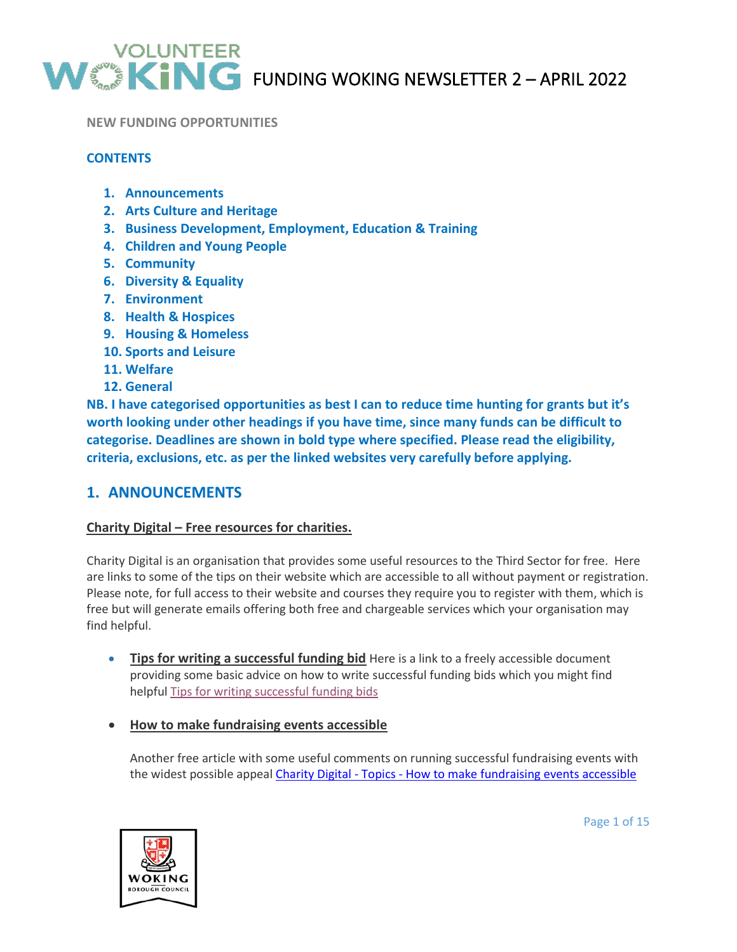

FUNDING WOKING NEWSLETTER 2 – APRIL 2022

#### **NEW FUNDING OPPORTUNITIES**

## **CONTENTS**

- **1. Announcements**
- **2. Arts Culture and Heritage**
- **3. Business Development, Employment, Education & Training**
- **4. Children and Young People**
- **5. Community**
- **6. Diversity & Equality**
- **7. Environment**
- **8. Health & Hospices**
- **9. Housing & Homeless**
- **10. Sports and Leisure**
- **11. Welfare**
- **12. General**

**NB. I have categorised opportunities as best I can to reduce time hunting for grants but it's worth looking under other headings if you have time, since many funds can be difficult to categorise. Deadlines are shown in bold type where specified. Please read the eligibility, criteria, exclusions, etc. as per the linked websites very carefully before applying.**

# **1. ANNOUNCEMENTS**

#### **Charity Digital – Free resources for charities.**

Charity Digital is an organisation that provides some useful resources to the Third Sector for free. Here are links to some of the tips on their website which are accessible to all without payment or registration. Please note, for full access to their website and courses they require you to register with them, which is free but will generate emails offering both free and chargeable services which your organisation may find helpful.

- **Tips for writing a successful funding bid** Here is a link to a freely accessible document providing some basic advice on how to write successful funding bids which you might find helpfu[l Tips for writing successful funding bids](https://charitydigital.org.uk/MessageAgent.cfm?msgCode=909&type=1&mtype=4&scode=4C914E4E-E72B-1E54-420D84A1F41B079E&requestedURL=https%3A%2F%2Fcharitydigital%2Eorg%2Euk%2Ftopics%2Ftopics%2Ftips%2Dfor%2Dwriting%2Dsuccessful%2Dfunding%2Dbids%2D9283%3Futm%5Fsource%3Dnewsletter%26utm%5Fmedium%3Demail%26utm%5Fcampaign%3DDigital%2520Fundraising%2520Newsletter)
- **How to make fundraising events accessible**

Another free article with some useful comments on running successful fundraising events with the widest possible appeal Charity Digital - Topics - [How to make fundraising events accessible](https://charitydigital.org.uk/topics/topics/how-to-make-fundraising-events-accessible-9913?utm_source=newsletter&utm_medium=email&utm_campaign=Digital%20Fundraising%20Newsletter)

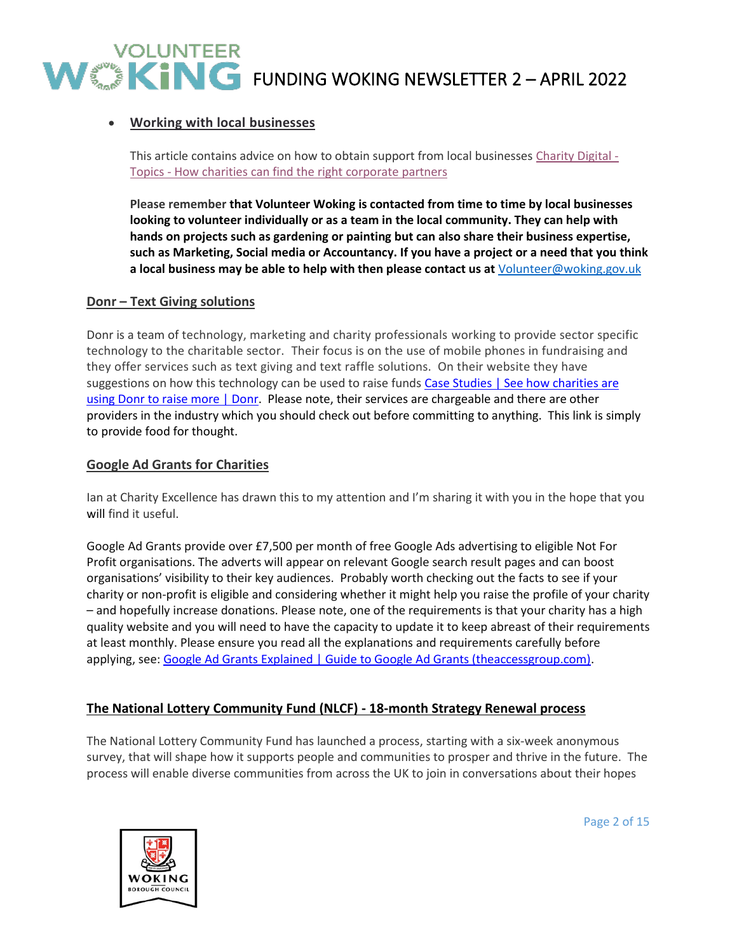# • **Working with local businesses**

This article contains advice on how to obtain support from local businesses [Charity Digital -](https://charitydigital.org.uk/topics/topics/how-charities-can-find-the-right-corporate-partners-9573?utm_source=newsletter&utm_medium=email&utm_campaign=Digital%20Fundraising%20Newsletter) Topics - [How charities can find the right corporate partners](https://charitydigital.org.uk/topics/topics/how-charities-can-find-the-right-corporate-partners-9573?utm_source=newsletter&utm_medium=email&utm_campaign=Digital%20Fundraising%20Newsletter)

**Please remember that Volunteer Woking is contacted from time to time by local businesses looking to volunteer individually or as a team in the local community. They can help with hands on projects such as gardening or painting but can also share their business expertise, such as Marketing, Social media or Accountancy. If you have a project or a need that you think a local business may be able to help with then please contact us at** [Volunteer@woking.gov.uk](mailto:Volunteer@woking.gov.uk)

#### **Donr – Text Giving solutions**

Donr is a team of technology, marketing and charity professionals working to provide sector specific technology to the charitable sector. Their focus is on the use of mobile phones in fundraising and they offer services such as text giving and text raffle solutions. On their website they have suggestions on how this technology can be used to raise funds Case Studies | See how charities are [using Donr to raise more | Donr.](https://www.donr.com/casestudies?sector=show-all&solution=show-all) Please note, their services are chargeable and there are other providers in the industry which you should check out before committing to anything. This link is simply to provide food for thought.

#### **Google Ad Grants for Charities**

Ian at Charity Excellence has drawn this to my attention and I'm sharing it with you in the hope that you will find it useful.

Google Ad Grants provide over £7,500 per month of free Google Ads advertising to eligible Not For Profit organisations. The adverts will appear on relevant Google search result pages and can boost organisations' visibility to their key audiences. Probably worth checking out the facts to see if your charity or non-profit is eligible and considering whether it might help you raise the profile of your charity – and hopefully increase donations. Please note, one of the requirements is that your charity has a high quality website and you will need to have the capacity to update it to keep abreast of their requirements at least monthly. Please ensure you read all the explanations and requirements carefully before applying, see: [Google Ad Grants Explained | Guide to Google Ad Grants \(theaccessgroup.com\).](https://www.theaccessgroup.com/en-gb/not-for-profit/software/ad-grants/ad-grants-explained/)

## **The National Lottery Community Fund (NLCF) - 18-month Strategy Renewal process**

The National Lottery Community Fund has launched a process, starting with a six-week anonymous survey, that will shape how it supports people and communities to prosper and thrive in the future. The process will enable diverse communities from across the UK to join in conversations about their hopes



Page 2 of 15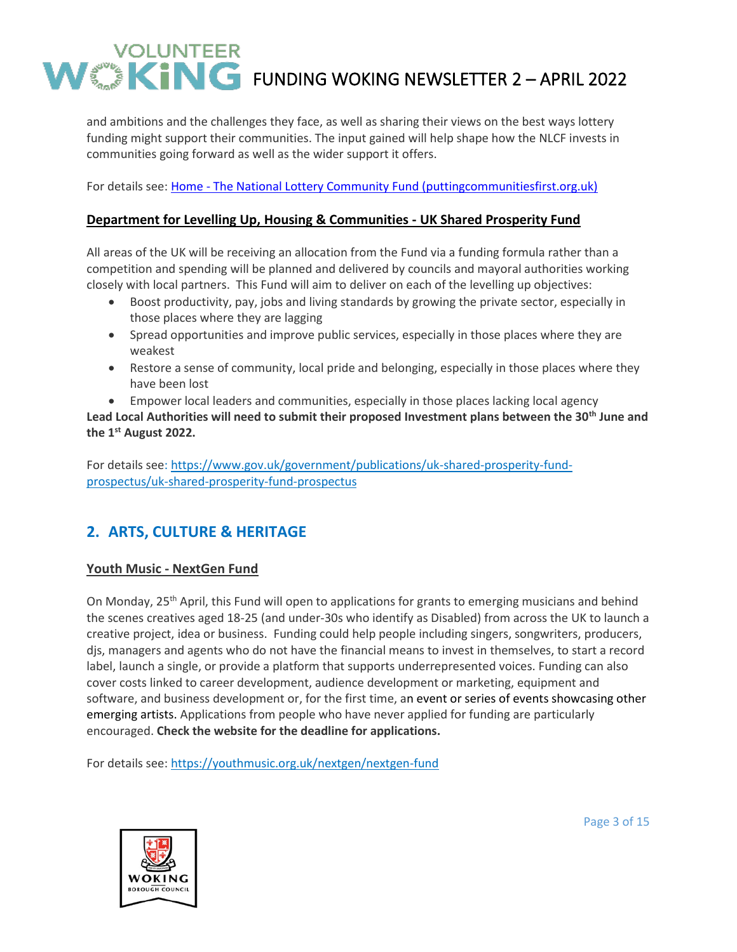and ambitions and the challenges they face, as well as sharing their views on the best ways lottery funding might support their communities. The input gained will help shape how the NLCF invests in communities going forward as well as the wider support it offers.

For details see: Home - [The National Lottery Community Fund \(puttingcommunitiesfirst.org.uk\)](https://www.puttingcommunitiesfirst.org.uk/)

## **Department for Levelling Up, Housing & Communities - UK Shared Prosperity Fund**

All areas of the UK will be receiving an allocation from the Fund via a funding formula rather than a competition and spending will be planned and delivered by councils and mayoral authorities working closely with local partners. This Fund will aim to deliver on each of the levelling up objectives:

- Boost productivity, pay, jobs and living standards by growing the private sector, especially in those places where they are lagging
- Spread opportunities and improve public services, especially in those places where they are weakest
- Restore a sense of community, local pride and belonging, especially in those places where they have been lost

• Empower local leaders and communities, especially in those places lacking local agency **Lead Local Authorities will need to submit their proposed Investment plans between the 30th June and the 1st August 2022.**

For details see: [https://www.gov.uk/government/publications/uk-shared-prosperity-fund](https://www.gov.uk/government/publications/uk-shared-prosperity-fund-prospectus/uk-shared-prosperity-fund-prospectus)[prospectus/uk-shared-prosperity-fund-prospectus](https://www.gov.uk/government/publications/uk-shared-prosperity-fund-prospectus/uk-shared-prosperity-fund-prospectus)

# **2. ARTS, CULTURE & HERITAGE**

## **Youth Music - NextGen Fund**

On Monday, 25<sup>th</sup> April, this Fund will open to applications for grants to emerging musicians and behind the scenes creatives aged 18-25 (and under-30s who identify as Disabled) from across the UK to launch a creative project, idea or business. Funding could help people including singers, songwriters, producers, djs, managers and agents who do not have the financial means to invest in themselves, to start a record label, launch a single, or provide a platform that supports underrepresented voices. Funding can also cover costs linked to career development, audience development or marketing, equipment and software, and business development or, for the first time, an event or series of events showcasing other emerging artists. Applications from people who have never applied for funding are particularly encouraged. **Check the website for the deadline for applications.**

For details see:<https://youthmusic.org.uk/nextgen/nextgen-fund>



Page 3 of 15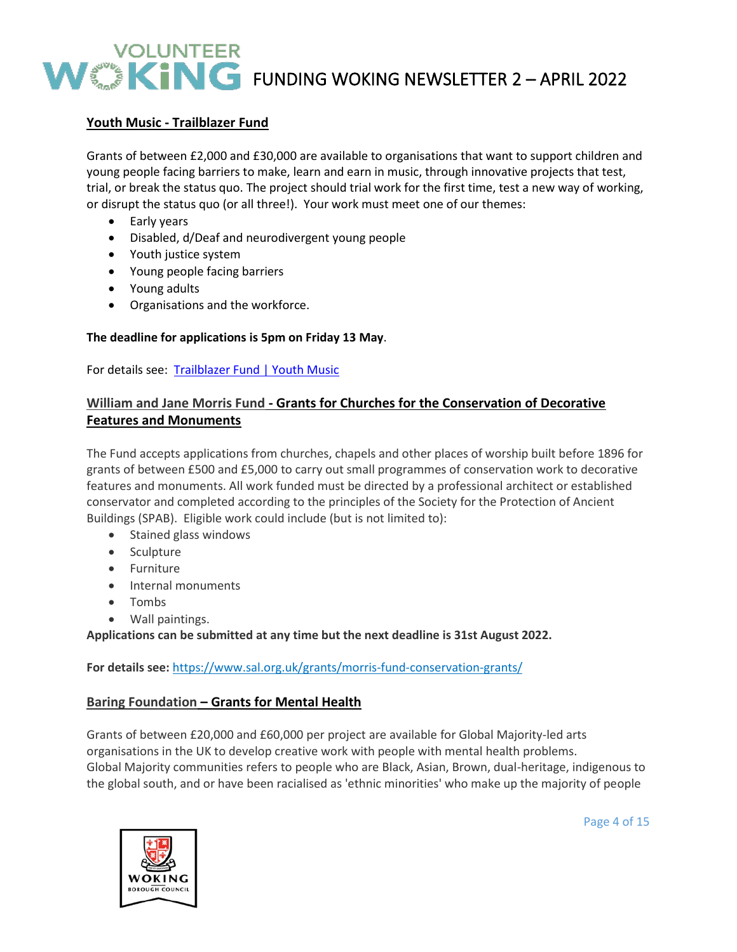# **Youth Music - Trailblazer Fund**

Grants of between £2,000 and £30,000 are available to organisations that want to support children and young people facing barriers to make, learn and earn in music, through innovative projects that test, trial, or break the status quo. The project should trial work for the first time, test a new way of working, or disrupt the status quo (or all three!). Your work must meet one of our themes:

- Early years
- Disabled, d/Deaf and neurodivergent young people
- Youth justice system
- Young people facing barriers
- Young adults
- Organisations and the workforce.

## **The deadline for applications is 5pm on Friday 13 May**.

For details see: [Trailblazer Fund | Youth Music](https://youthmusic.org.uk/trailblazer-fund)

# **William and Jane Morris Fund - Grants for Churches for the Conservation of Decorative Features and Monuments**

The Fund accepts applications from churches, chapels and other places of worship built before 1896 for grants of between £500 and £5,000 to carry out small programmes of conservation work to decorative features and monuments. All work funded must be directed by a professional architect or established conservator and completed according to the principles of the Society for the Protection of Ancient Buildings (SPAB). Eligible work could include (but is not limited to):

- Stained glass windows
- Sculpture
- Furniture
- Internal monuments
- Tombs
- Wall paintings.

**Applications can be submitted at any time but the next deadline is 31st August 2022.**

**For details see:** <https://www.sal.org.uk/grants/morris-fund-conservation-grants/>

## **Baring Foundation – Grants for Mental Health**

Grants of between £20,000 and £60,000 per project are available for Global Majority-led arts organisations in the UK to develop creative work with people with mental health problems. Global Majority communities refers to people who are Black, Asian, Brown, dual-heritage, indigenous to the global south, and or have been racialised as 'ethnic minorities' who make up the majority of people



Page 4 of 15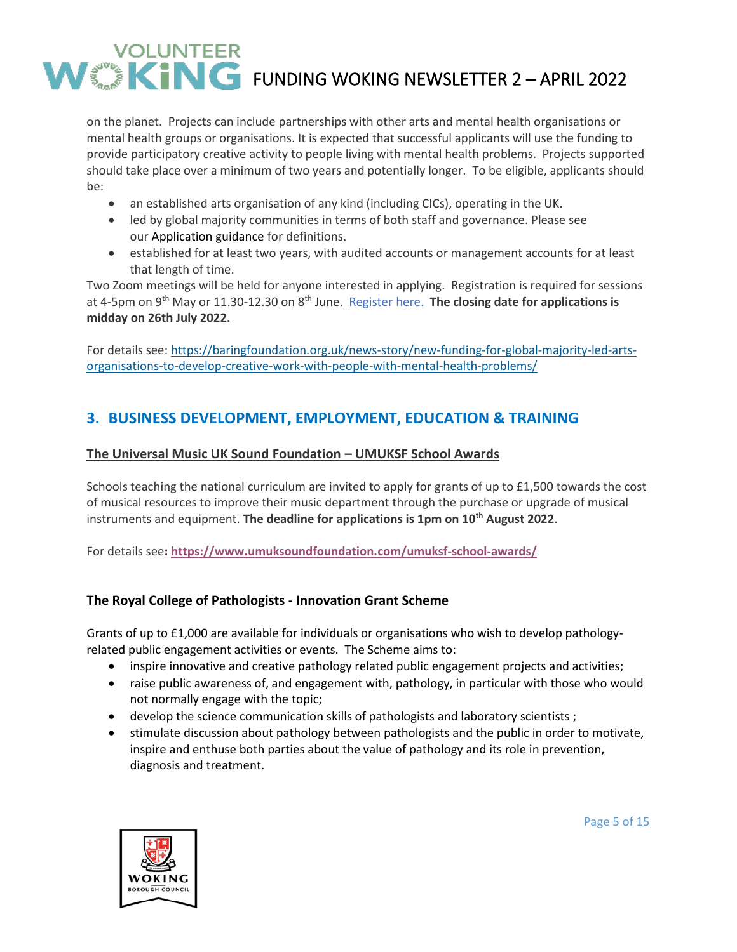on the planet. Projects can include partnerships with other arts and mental health organisations or mental health groups or organisations. It is expected that successful applicants will use the funding to provide participatory creative activity to people living with mental health problems. Projects supported should take place over a minimum of two years and potentially longer. To be eligible, applicants should be:

- an established arts organisation of any kind (including CICs), operating in the UK.
- led by global majority communities in terms of both staff and governance. Please see our [Application guidance](https://cdn.baringfoundation.org.uk/wp-content/uploads/Application-guidelines-approved.pdf) for definitions.
- established for at least two years, with audited accounts or management accounts for at least that length of time.

Two Zoom meetings will be held for anyone interested in applying. Registration is required for sessions at 4-5pm on 9<sup>th</sup> May or 11.30-12.30 on 8<sup>th</sup> June. [Register](https://www.eventbrite.co.uk/e/global-majority-led-arts-organisations-mental-health-funding-qa-tickets-311676251057) here. **The closing date for applications is midday on 26th July 2022.**

For details see: [https://baringfoundation.org.uk/news-story/new-funding-for-global-majority-led-arts](https://baringfoundation.org.uk/news-story/new-funding-for-global-majority-led-arts-organisations-to-develop-creative-work-with-people-with-mental-health-problems/)[organisations-to-develop-creative-work-with-people-with-mental-health-problems/](https://baringfoundation.org.uk/news-story/new-funding-for-global-majority-led-arts-organisations-to-develop-creative-work-with-people-with-mental-health-problems/)

# **3. BUSINESS DEVELOPMENT, EMPLOYMENT, EDUCATION & TRAINING**

# **The Universal Music UK Sound Foundation – UMUKSF School Awards**

Schools teaching the national curriculum are invited to apply for grants of up to £1,500 towards the cost of musical resources to improve their music department through the purchase or upgrade of musical instruments and equipment. **The deadline for applications is 1pm on 10th August 2022**.

For details see**: <https://www.umuksoundfoundation.com/umuksf-school-awards/>**

# **The Royal College of Pathologists - Innovation Grant Scheme**

Grants of up to £1,000 are available for individuals or organisations who wish to develop pathologyrelated public engagement activities or events. The Scheme aims to:

- inspire innovative and creative pathology related public engagement projects and activities;
- raise public awareness of, and engagement with, pathology, in particular with those who would not normally engage with the topic;
- develop the science communication skills of pathologists and laboratory scientists ;
- stimulate discussion about pathology between pathologists and the public in order to motivate, inspire and enthuse both parties about the value of pathology and its role in prevention, diagnosis and treatment.

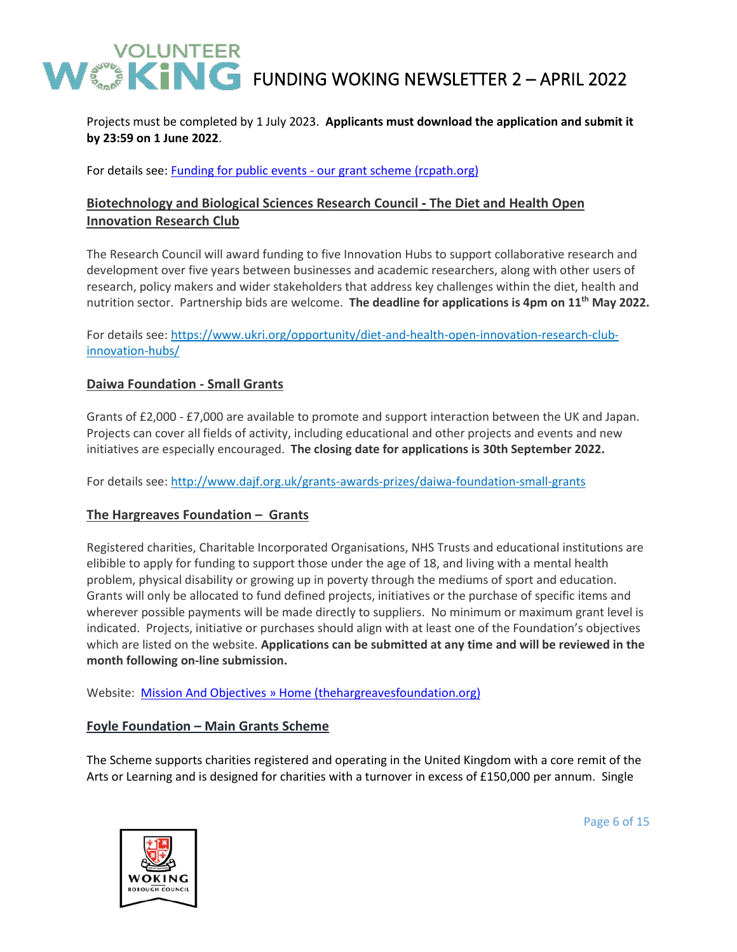Projects must be completed by 1 July 2023. **Applicants must download the application and submit it by 23:59 on 1 June 2022**.

For details see: Funding for public events - [our grant scheme \(rcpath.org\)](https://www.rcpath.org/discover-pathology/events-landing-page/funding-for-public-events.html?msclkid=ecfa0f6ab66811ecba8f2d4defe5a3e3)

# **Biotechnology and Biological Sciences Research Council - The Diet and Health Open Innovation Research Club**

The Research Council will award funding to five Innovation Hubs to support collaborative research and development over five years between businesses and academic researchers, along with other users of research, policy makers and wider stakeholders that address key challenges within the diet, health and nutrition sector. Partnership bids are welcome. **The deadline for applications is 4pm on 11th May 2022.**

For details see: [https://www.ukri.org/opportunity/diet-and-health-open-innovation-research-club](https://www.ukri.org/opportunity/diet-and-health-open-innovation-research-club-innovation-hubs/)[innovation-hubs/](https://www.ukri.org/opportunity/diet-and-health-open-innovation-research-club-innovation-hubs/)

## **Daiwa Foundation - Small Grants**

Grants of £2,000 - £7,000 are available to promote and support interaction between the UK and Japan. Projects can cover all fields of activity, including educational and other projects and events and new initiatives are especially encouraged. **The closing date for applications is 30th September 2022.**

For details see:<http://www.dajf.org.uk/grants-awards-prizes/daiwa-foundation-small-grants>

## **The Hargreaves Foundation – Grants**

Registered charities, Charitable Incorporated Organisations, NHS Trusts and educational institutions are elibible to apply for funding to support those under the age of 18, and living with a mental health problem, physical disability or growing up in poverty through the mediums of sport and education. Grants will only be allocated to fund defined projects, initiatives or the purchase of specific items and wherever possible payments will be made directly to suppliers. No minimum or maximum grant level is indicated. Projects, initiative or purchases should align with at least one of the Foundation's objectives which are listed on the website. **Applications can be submitted at any time and will be reviewed in the month following on-line submission.**

Website: [Mission And Objectives » Home \(thehargreavesfoundation.org\)](https://www.thehargreavesfoundation.org/mission-and-objectives/)

## **Foyle Foundation – Main Grants Scheme**

The Scheme supports charities registered and operating in the United Kingdom with a core remit of the Arts or Learning and is designed for charities with a turnover in excess of £150,000 per annum. Single



Page 6 of 15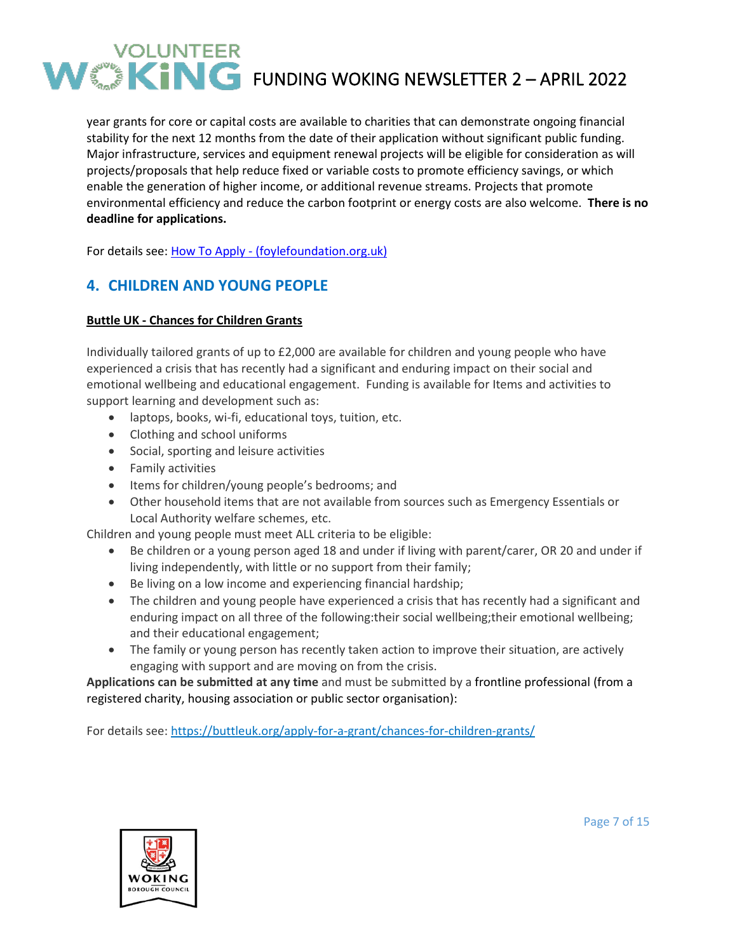year grants for core or capital costs are available to charities that can demonstrate ongoing financial stability for the next 12 months from the date of their application without significant public funding. Major infrastructure, services and equipment renewal projects will be eligible for consideration as will projects/proposals that help reduce fixed or variable costs to promote efficiency savings, or which enable the generation of higher income, or additional revenue streams. Projects that promote environmental efficiency and reduce the carbon footprint or energy costs are also welcome. **There is no deadline for applications.**

For details see: How To Apply - [\(foylefoundation.org.uk\)](http://www.foylefoundation.org.uk/how-to-apply/)

# **4. CHILDREN AND YOUNG PEOPLE**

## **Buttle UK - Chances for Children Grants**

Individually tailored grants of up to £2,000 are available for children and young people who have experienced a crisis that has recently had a significant and enduring impact on their social and emotional wellbeing and educational engagement. Funding is available for Items and activities to support learning and development such as:

- laptops, books, wi-fi, educational toys, tuition, etc.
- Clothing and school uniforms
- Social, sporting and leisure activities
- Family activities
- Items for children/young people's bedrooms; and
- Other household items that are not available from sources such as Emergency Essentials or Local Authority welfare schemes, etc.

Children and young people must meet ALL criteria to be eligible:

- Be children or a young person aged 18 and under if living with parent/carer, OR 20 and under if living independently, with little or no support from their family;
- Be living on a low income and experiencing financial hardship;
- The children and young people have experienced a crisis that has recently had a significant and enduring impact on all three of the following: their social wellbeing; their emotional wellbeing; and their educational engagement;
- The family or young person has recently taken action to improve their situation, are actively engaging with support and are moving on from the crisis.

**Applications can be submitted at any time** and must be submitted by a frontline professional (from a registered charity, housing association or public sector organisation):

For details see: <https://buttleuk.org/apply-for-a-grant/chances-for-children-grants/>



Page 7 of 15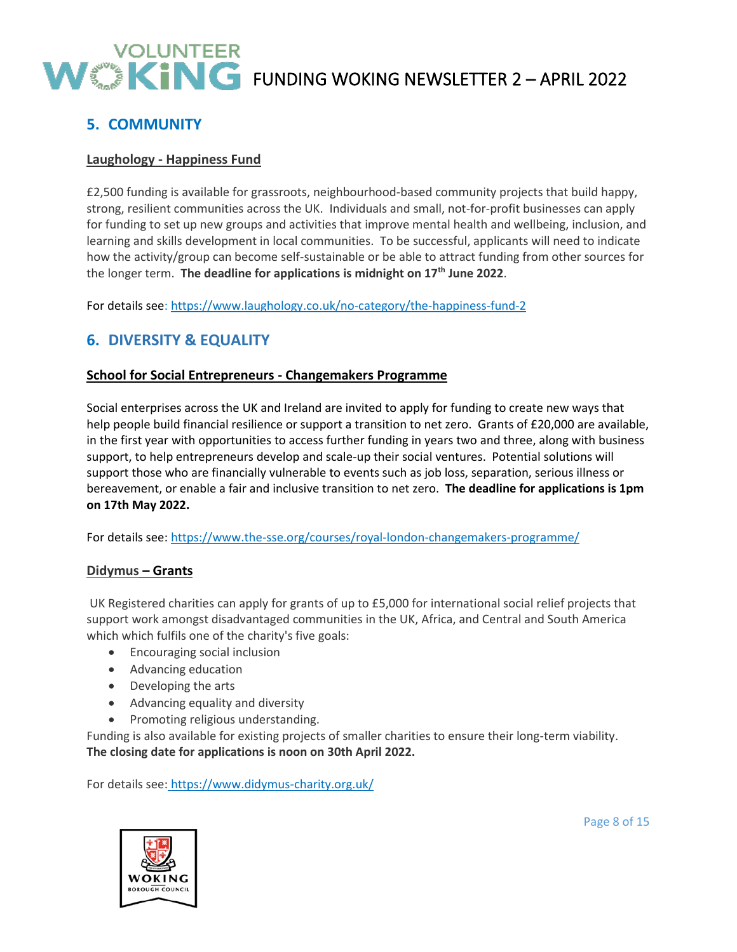# **5. COMMUNITY**

## **Laughology - Happiness Fund**

£2,500 funding is available for grassroots, neighbourhood-based community projects that build happy, strong, resilient communities across the UK. Individuals and small, not-for-profit businesses can apply for funding to set up new groups and activities that improve mental health and wellbeing, inclusion, and learning and skills development in local communities. To be successful, applicants will need to indicate how the activity/group can become self-sustainable or be able to attract funding from other sources for the longer term. **The deadline for applications is midnight on 17th June 2022**.

For details see:<https://www.laughology.co.uk/no-category/the-happiness-fund-2>

# **6. DIVERSITY & EQUALITY**

## **School for Social Entrepreneurs - Changemakers Programme**

Social enterprises across the UK and Ireland are invited to apply for funding to create new ways that help people build financial resilience or support a transition to net zero. Grants of £20,000 are available, in the first year with opportunities to access further funding in years two and three, along with business support, to help entrepreneurs develop and scale-up their social ventures. Potential solutions will support those who are financially vulnerable to events such as job loss, separation, serious illness or bereavement, or enable a fair and inclusive transition to net zero. **The deadline for applications is 1pm on 17th May 2022.**

For details see:<https://www.the-sse.org/courses/royal-london-changemakers-programme/>

## **Didymus – Grants**

UK Registered charities can apply for grants of up to £5,000 for international social relief projects that support work amongst disadvantaged communities in the UK, Africa, and Central and South America which which fulfils one of the charity's five goals:

- Encouraging social inclusion
- Advancing education
- Developing the arts
- Advancing equality and diversity
- Promoting religious understanding.

Funding is also available for existing projects of smaller charities to ensure their long-term viability. **The closing date for applications is noon on 30th April 2022.**

For details see: <https://www.didymus-charity.org.uk/>

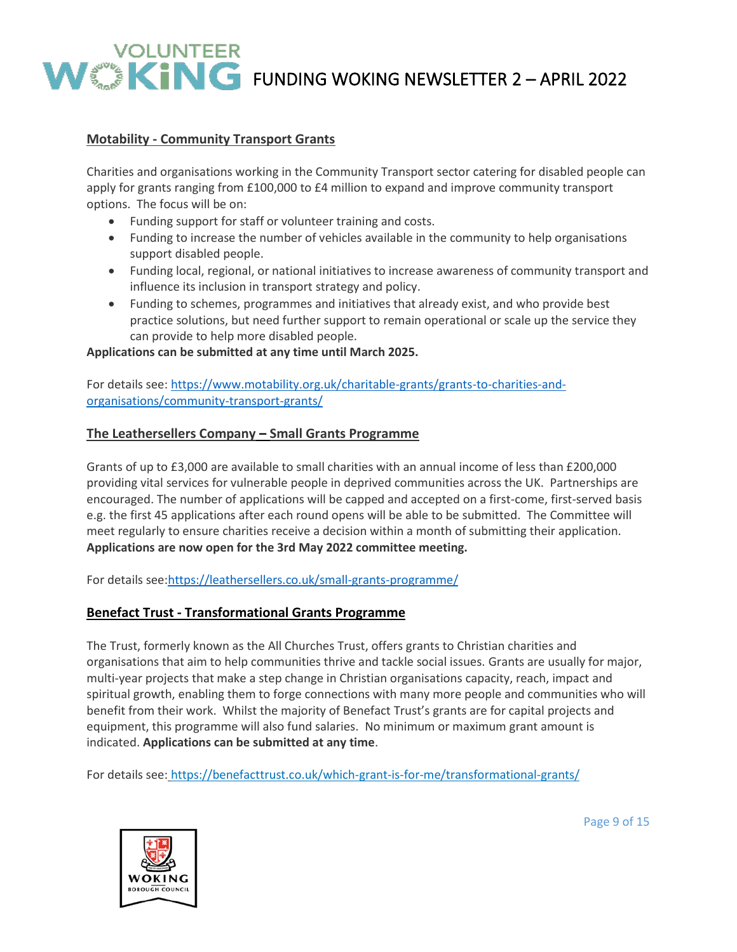# **Motability - Community Transport Grants**

Charities and organisations working in the Community Transport sector catering for disabled people can apply for grants ranging from £100,000 to £4 million to expand and improve community transport options. The focus will be on:

- Funding support for staff or volunteer training and costs.
- Funding to increase the number of vehicles available in the community to help organisations support disabled people.
- Funding local, regional, or national initiatives to increase awareness of community transport and influence its inclusion in transport strategy and policy.
- Funding to schemes, programmes and initiatives that already exist, and who provide best practice solutions, but need further support to remain operational or scale up the service they can provide to help more disabled people.

#### **Applications can be submitted at any time until March 2025.**

For details see: [https://www.motability.org.uk/charitable-grants/grants-to-charities-and](https://www.motability.org.uk/charitable-grants/grants-to-charities-and-organisations/community-transport-grants/)[organisations/community-transport-grants/](https://www.motability.org.uk/charitable-grants/grants-to-charities-and-organisations/community-transport-grants/)

## **The Leathersellers Company – Small Grants Programme**

Grants of up to £3,000 are available to small charities with an annual income of less than £200,000 providing vital services for vulnerable people in deprived communities across the UK. Partnerships are encouraged. The number of applications will be capped and accepted on a first-come, first-served basis e.g. the first 45 applications after each round opens will be able to be submitted. The Committee will meet regularly to ensure charities receive a decision within a month of submitting their application. **Applications are now open for the 3rd May 2022 committee meeting.** 

For details see[:https://leathersellers.co.uk/small-grants-programme/](https://leathersellers.co.uk/small-grants-programme/)

## **Benefact Trust - Transformational Grants Programme**

The Trust, formerly known as the All Churches Trust, offers grants to Christian charities and organisations that aim to help communities thrive and tackle social issues. Grants are usually for major, multi-year projects that make a step change in Christian organisations capacity, reach, impact and spiritual growth, enabling them to forge connections with many more people and communities who will benefit from their work. Whilst the majority of Benefact Trust's grants are for capital projects and equipment, this programme will also fund salaries. No minimum or maximum grant amount is indicated. **Applications can be submitted at any time**.

For details see: <https://benefacttrust.co.uk/which-grant-is-for-me/transformational-grants/>



Page 9 of 15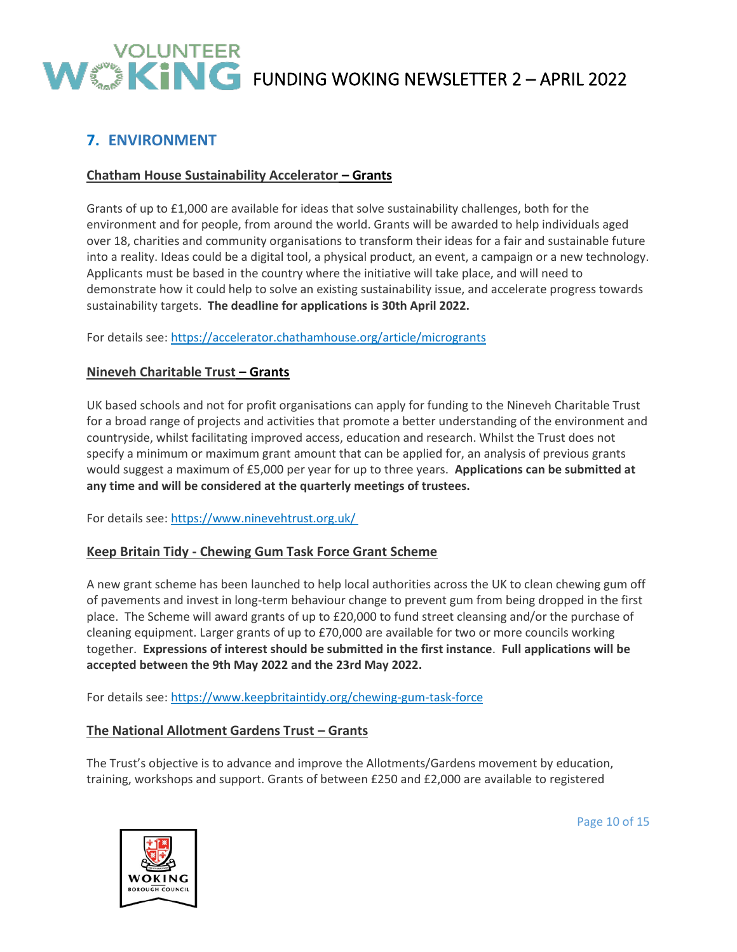

# **7. ENVIRONMENT**

# **Chatham House Sustainability Accelerator – Grants**

Grants of up to £1,000 are available for ideas that solve sustainability challenges, both for the environment and for people, from around the world. Grants will be awarded to help individuals aged over 18, charities and community organisations to transform their ideas for a fair and sustainable future into a reality. Ideas could be a digital tool, a physical product, an event, a campaign or a new technology. Applicants must be based in the country where the initiative will take place, and will need to demonstrate how it could help to solve an existing sustainability issue, and accelerate progress towards sustainability targets. **The deadline for applications is 30th April 2022.**

For details see:<https://accelerator.chathamhouse.org/article/microgrants>

## **Nineveh Charitable Trust – Grants**

UK based schools and not for profit organisations can apply for funding to the Nineveh Charitable Trust for a broad range of projects and activities that promote a better understanding of the environment and countryside, whilst facilitating improved access, education and research. Whilst the Trust does not specify a minimum or maximum grant amount that can be applied for, an analysis of previous grants would suggest a maximum of £5,000 per year for up to three years. **Applications can be submitted at any time and will be considered at the quarterly meetings of trustees.**

For details see: [https://www.ninevehtrust.org.uk/](https://www.ninevehtrust.org.uk/%C2%A0)

## **Keep Britain Tidy - Chewing Gum Task Force Grant Scheme**

A new grant scheme has been launched to help local authorities across the UK to clean chewing gum off of pavements and invest in long-term behaviour change to prevent gum from being dropped in the first place. The Scheme will award grants of up to £20,000 to fund street cleansing and/or the purchase of cleaning equipment. Larger grants of up to £70,000 are available for two or more councils working together. **Expressions of interest should be submitted in the first instance**. **Full applications will be accepted between the 9th May 2022 and the 23rd May 2022.**

For details see:<https://www.keepbritaintidy.org/chewing-gum-task-force>

## **The National Allotment Gardens Trust – Grants**

The Trust's objective is to advance and improve the Allotments/Gardens movement by education, training, workshops and support. Grants of between £250 and £2,000 are available to registered



Page 10 of 15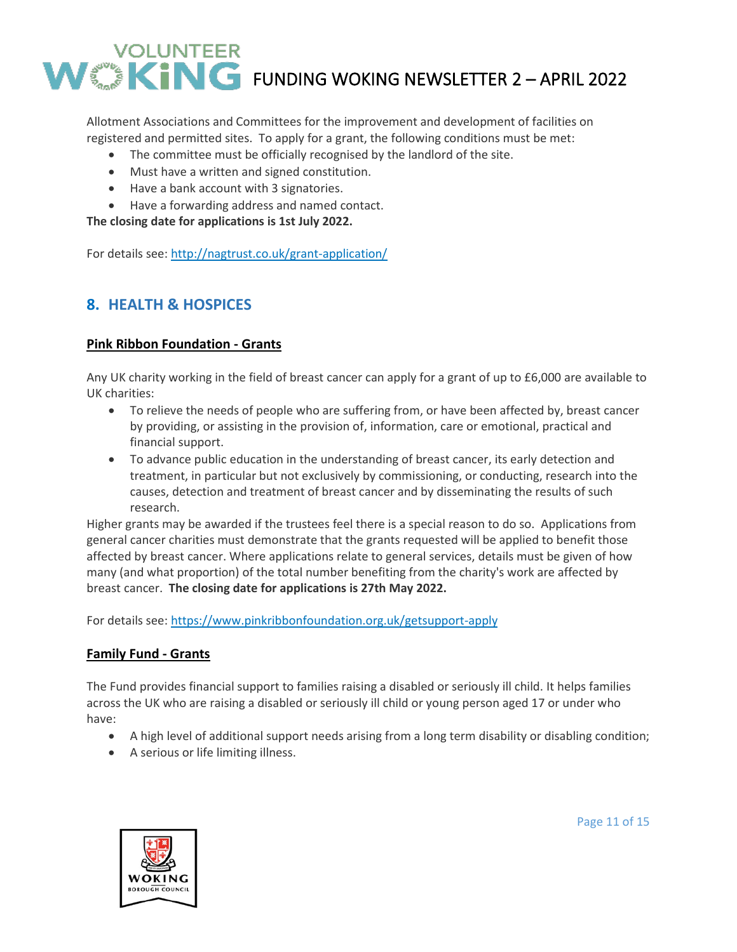Allotment Associations and Committees for the improvement and development of facilities on registered and permitted sites. To apply for a grant, the following conditions must be met:

- The committee must be officially recognised by the landlord of the site.
- Must have a written and signed constitution.
- Have a bank account with 3 signatories.
- Have a forwarding address and named contact.

**The closing date for applications is 1st July 2022.**

For details see: <http://nagtrust.co.uk/grant-application/>

# **8. HEALTH & HOSPICES**

## **Pink Ribbon Foundation - Grants**

Any UK charity working in the field of breast cancer can apply for a grant of up to £6,000 are available to UK charities:

- To relieve the needs of people who are suffering from, or have been affected by, breast cancer by providing, or assisting in the provision of, information, care or emotional, practical and financial support.
- To advance public education in the understanding of breast cancer, its early detection and treatment, in particular but not exclusively by commissioning, or conducting, research into the causes, detection and treatment of breast cancer and by disseminating the results of such research.

Higher grants may be awarded if the trustees feel there is a special reason to do so. Applications from general cancer charities must demonstrate that the grants requested will be applied to benefit those affected by breast cancer. Where applications relate to general services, details must be given of how many (and what proportion) of the total number benefiting from the charity's work are affected by breast cancer. **The closing date for applications is 27th May 2022.**

For details see:<https://www.pinkribbonfoundation.org.uk/getsupport-apply>

## **Family Fund - Grants**

The Fund provides financial support to families raising a disabled or seriously ill child. It helps families across the UK who are raising a disabled or seriously ill child or young person aged 17 or under who have:

- A high level of additional support needs arising from a long term disability or disabling condition;
- A serious or life limiting illness.



Page 11 of 15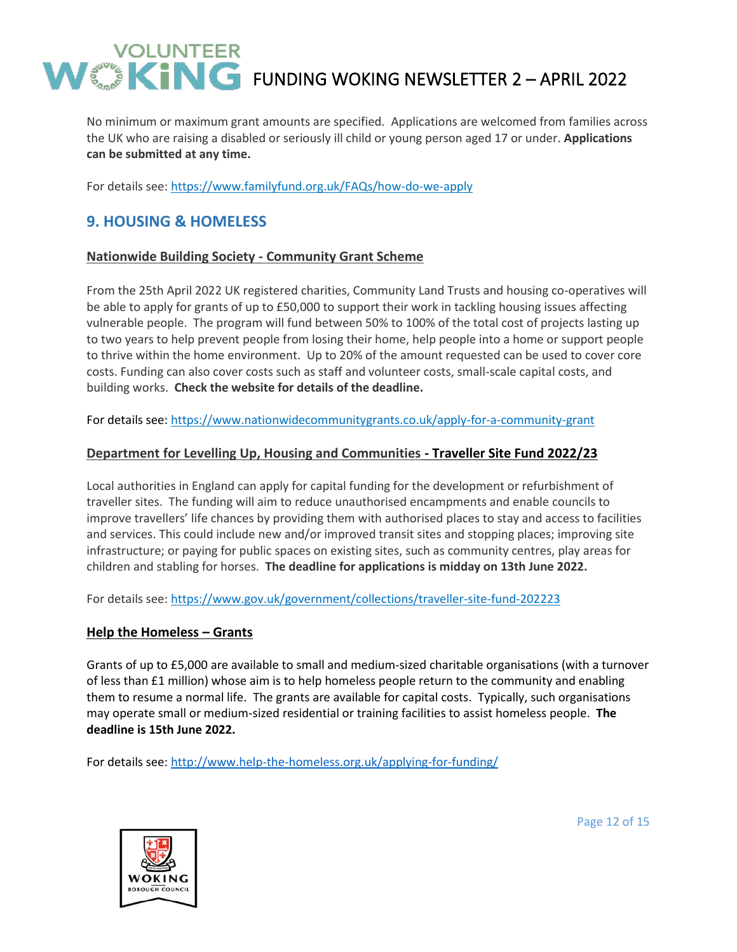No minimum or maximum grant amounts are specified. Applications are welcomed from families across the UK who are raising a disabled or seriously ill child or young person aged 17 or under. **Applications can be submitted at any time.**

For details see: <https://www.familyfund.org.uk/FAQs/how-do-we-apply>

# **9. HOUSING & HOMELESS**

## **Nationwide Building Society - Community Grant Scheme**

From the 25th April 2022 UK registered charities, Community Land Trusts and housing co-operatives will be able to apply for grants of up to £50,000 to support their work in tackling housing issues affecting vulnerable people. The program will fund between 50% to 100% of the total cost of projects lasting up to two years to help prevent people from losing their home, help people into a home or support people to thrive within the home environment. Up to 20% of the amount requested can be used to cover core costs. Funding can also cover costs such as staff and volunteer costs, small-scale capital costs, and building works. **Check the website for details of the deadline.**

For details see:<https://www.nationwidecommunitygrants.co.uk/apply-for-a-community-grant>

## **Department for Levelling Up, Housing and Communities - Traveller Site Fund 2022/23**

Local authorities in England can apply for capital funding for the development or refurbishment of traveller sites. The funding will aim to reduce unauthorised encampments and enable councils to improve travellers' life chances by providing them with authorised places to stay and access to facilities and services. This could include new and/or improved transit sites and stopping places; improving site infrastructure; or paying for public spaces on existing sites, such as community centres, play areas for children and stabling for horses. **The deadline for applications is midday on 13th June 2022.**

For details see:<https://www.gov.uk/government/collections/traveller-site-fund-202223>

## **Help the Homeless – Grants**

Grants of up to £5,000 are available to small and medium-sized charitable organisations (with a turnover of less than £1 million) whose aim is to help homeless people return to the community and enabling them to resume a normal life. The grants are available for capital costs. Typically, such organisations may operate small or medium-sized residential or training facilities to assist homeless people. **The deadline is 15th June 2022.**

For details see:<http://www.help-the-homeless.org.uk/applying-for-funding/>



Page 12 of 15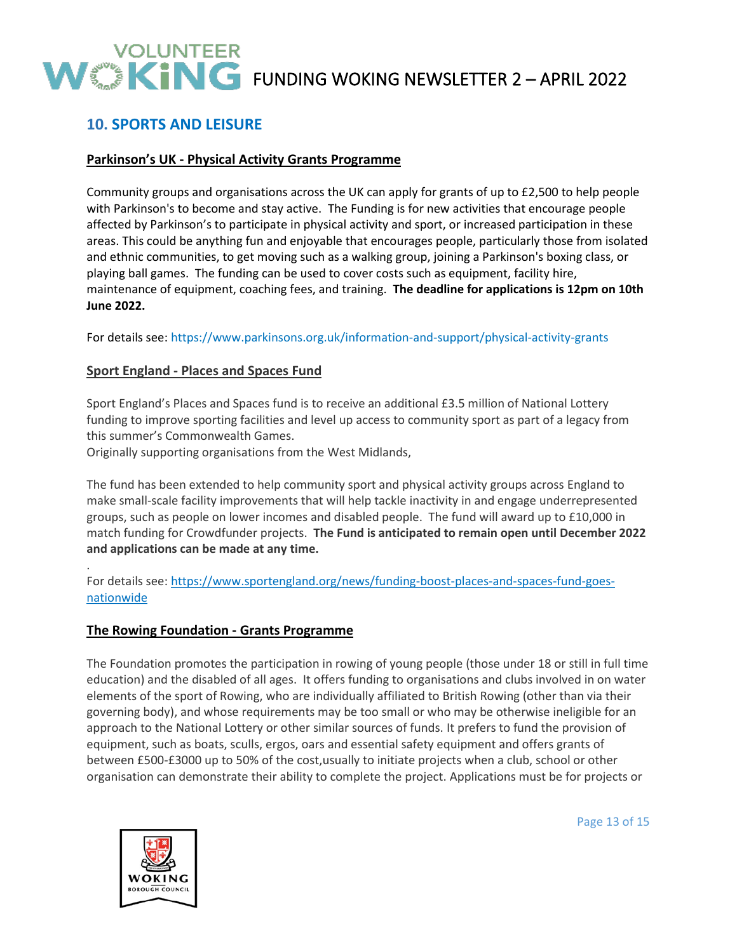# **10. SPORTS AND LEISURE**

## **Parkinson's UK - Physical Activity Grants Programme**

Community groups and organisations across the UK can apply for grants of up to £2,500 to help people with Parkinson's to become and stay active. The Funding is for new activities that encourage people affected by Parkinson's to participate in physical activity and sport, or increased participation in these areas. This could be anything fun and enjoyable that encourages people, particularly those from isolated and ethnic communities, to get moving such as a walking group, joining a Parkinson's boxing class, or playing ball games. The funding can be used to cover costs such as equipment, facility hire, maintenance of equipment, coaching fees, and training. **The deadline for applications is 12pm on 10th June 2022.**

For details see:<https://www.parkinsons.org.uk/information-and-support/physical-activity-grants>

## **Sport England - Places and Spaces Fund**

Sport England's Places and Spaces fund is to receive an additional £3.5 million of National Lottery funding to improve sporting facilities and level up access to community sport as part of a legacy from this summer's Commonwealth Games.

Originally supporting organisations from the West Midlands,

The fund has been extended to help community sport and physical activity groups across England to make small-scale facility improvements that will help tackle inactivity in and engage underrepresented groups, such as people on lower incomes and disabled people. The fund will award up to £10,000 in match funding for Crowdfunder projects. **The Fund is anticipated to remain open until December 2022 and applications can be made at any time.**

For details see: [https://www.sportengland.org/news/funding-boost-places-and-spaces-fund-goes](https://www.sportengland.org/news/funding-boost-places-and-spaces-fund-goes-nationwide)[nationwide](https://www.sportengland.org/news/funding-boost-places-and-spaces-fund-goes-nationwide)

## **The Rowing Foundation - Grants Programme**

The Foundation promotes the participation in rowing of young people (those under 18 or still in full time education) and the disabled of all ages. It offers funding to organisations and clubs involved in on water elements of the sport of Rowing, who are individually affiliated to British Rowing (other than via their governing body), and whose requirements may be too small or who may be otherwise ineligible for an approach to the National Lottery or other similar sources of funds. It prefers to fund the provision of equipment, such as boats, sculls, ergos, oars and essential safety equipment and offers grants of between £500-£3000 up to 50% of the cost,usually to initiate projects when a club, school or other organisation can demonstrate their ability to complete the project. Applications must be for projects or



.

Page 13 of 15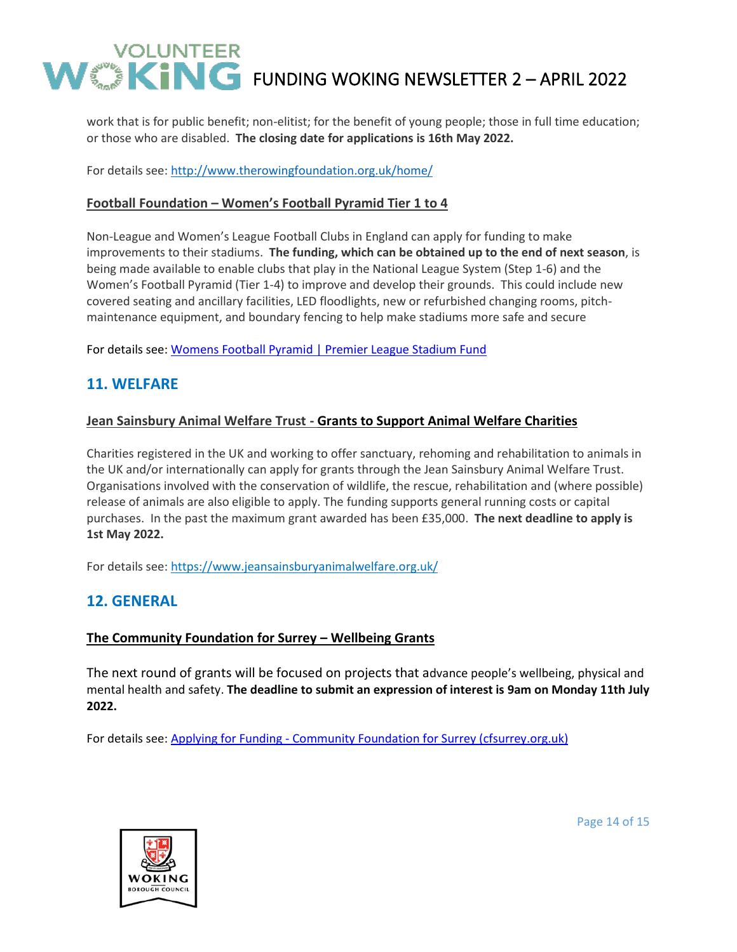work that is for public benefit; non-elitist; for the benefit of young people; those in full time education; or those who are disabled. **The closing date for applications is 16th May 2022.**

For details see:<http://www.therowingfoundation.org.uk/home/>

## **Football Foundation – Women's Football Pyramid Tier 1 to 4**

Non-League and Women's League Football Clubs in England can apply for funding to make improvements to their stadiums. **The funding, which can be obtained up to the end of next season**, is being made available to enable clubs that play in the National League System (Step 1-6) and the Women's Football Pyramid (Tier 1-4) to improve and develop their grounds. This could include new covered seating and ancillary facilities, LED floodlights, new or refurbished changing rooms, pitchmaintenance equipment, and boundary fencing to help make stadiums more safe and secure

For details see: [Womens Football Pyramid | Premier League Stadium Fund](https://premierleaguestadiumfund.co.uk/womens-football-pyramid)

# **11. WELFARE**

## **Jean Sainsbury Animal Welfare Trust - Grants to Support Animal Welfare Charities**

Charities registered in the UK and working to offer sanctuary, rehoming and rehabilitation to animals in the UK and/or internationally can apply for grants through the Jean Sainsbury Animal Welfare Trust. Organisations involved with the conservation of wildlife, the rescue, rehabilitation and (where possible) release of animals are also eligible to apply. The funding supports general running costs or capital purchases. In the past the maximum grant awarded has been £35,000. **The next deadline to apply is 1st May 2022.**

For details see:<https://www.jeansainsburyanimalwelfare.org.uk/>

# **12. GENERAL**

## **The Community Foundation for Surrey – Wellbeing Grants**

The next round of grants will be focused on projects that advance people's wellbeing, physical and mental health and safety. **The deadline to submit an expression of interest is 9am on Monday 11th July 2022.**

For details see: Applying for Funding - [Community Foundation for Surrey \(cfsurrey.org.uk\)](https://www.cfsurrey.org.uk/applyforfunding/)



Page 14 of 15